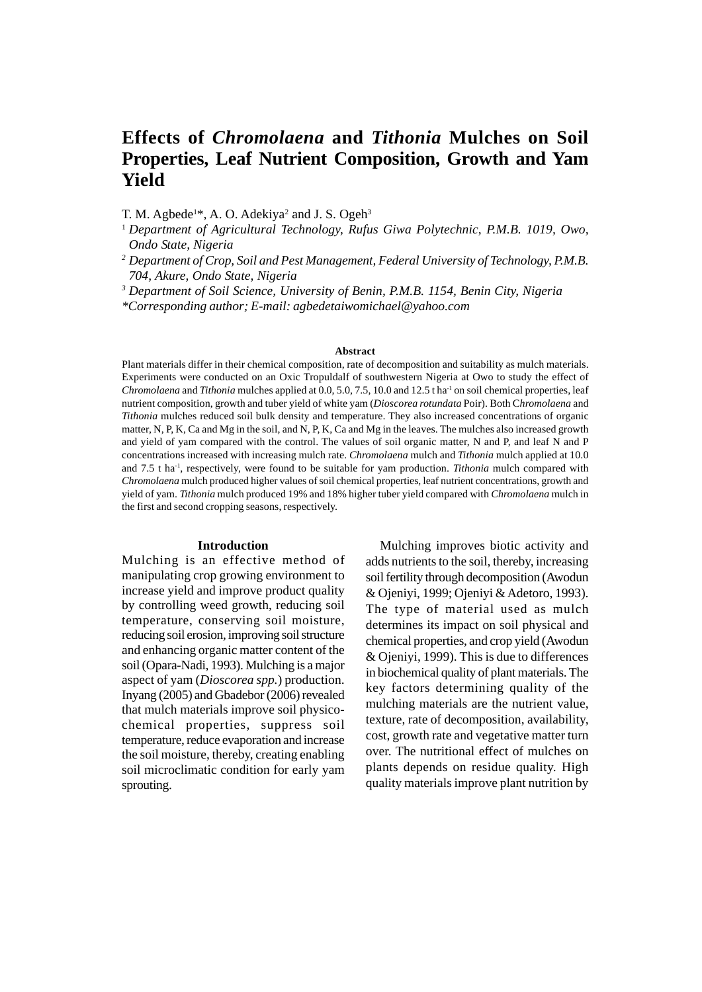# Agbede **Effects of** *et al.*: Effects of *Chromolaena Chromolaena* and *Tithonia* mulches on yam growth and yield 15 **and** *Tithonia* **Mulches on Soil Properties, Leaf Nutrient Composition, Growth and Yam Yield**

# T. M. Agbede<sup>1\*</sup>, A. O. Adekiya<sup>2</sup> and J. S. Ogeh<sup>3</sup>

- <sup>1</sup> *Department of Agricultural Technology, Rufus Giwa Polytechnic, P.M.B. 1019, Owo, Ondo State, Nigeria*
- *<sup>2</sup> Department of Crop, Soil and Pest Management, Federal University of Technology, P.M.B. 704, Akure, Ondo State, Nigeria*

*<sup>3</sup> Department of Soil Science, University of Benin, P.M.B. 1154, Benin City, Nigeria*

*\*Corresponding author; E-mail: agbedetaiwomichael@yahoo.com*

#### **Abstract**

Plant materials differ in their chemical composition, rate of decomposition and suitability as mulch materials. Experiments were conducted on an Oxic Tropuldalf of southwestern Nigeria at Owo to study the effect of *Chromolaena* and *Tithonia* mulches applied at 0.0, 5.0, 7.5, 10.0 and 12.5 t ha<sup>-1</sup> on soil chemical properties, leaf nutrient composition, growth and tuber yield of white yam (*Dioscorea rotundata* Poir). Both C*hromolaena* and *Tithonia* mulches reduced soil bulk density and temperature. They also increased concentrations of organic matter, N, P, K, Ca and Mg in the soil, and N, P, K, Ca and Mg in the leaves. The mulches also increased growth and yield of yam compared with the control. The values of soil organic matter, N and P, and leaf N and P concentrations increased with increasing mulch rate. *Chromolaena* mulch and *Tithonia* mulch applied at 10.0 and 7.5 t ha-1, respectively, were found to be suitable for yam production. *Tithonia* mulch compared with *Chromolaena* mulch produced higher values of soil chemical properties, leaf nutrient concentrations, growth and yield of yam. *Tithonia* mulch produced 19% and 18% higher tuber yield compared with *Chromolaena* mulch in the first and second cropping seasons, respectively.

#### **Introduction**

Mulching is an effective method of manipulating crop growing environment to increase yield and improve product quality by controlling weed growth, reducing soil temperature, conserving soil moisture, reducing soil erosion, improving soil structure and enhancing organic matter content of the soil (Opara-Nadi, 1993). Mulching is a major aspect of yam (*Dioscorea spp.*) production. Inyang (2005) and Gbadebor (2006) revealed that mulch materials improve soil physicochemical properties, suppress soil temperature, reduce evaporation and increase the soil moisture, thereby, creating enabling soil microclimatic condition for early yam sprouting.

Mulching improves biotic activity and adds nutrients to the soil, thereby, increasing soil fertility through decomposition (Awodun & Ojeniyi, 1999; Ojeniyi & Adetoro, 1993). The type of material used as mulch determines its impact on soil physical and chemical properties, and crop yield (Awodun & Ojeniyi, 1999). This is due to differences in biochemical quality of plant materials. The key factors determining quality of the mulching materials are the nutrient value, texture, rate of decomposition, availability, cost, growth rate and vegetative matter turn over. The nutritional effect of mulches on plants depends on residue quality. High quality materials improve plant nutrition by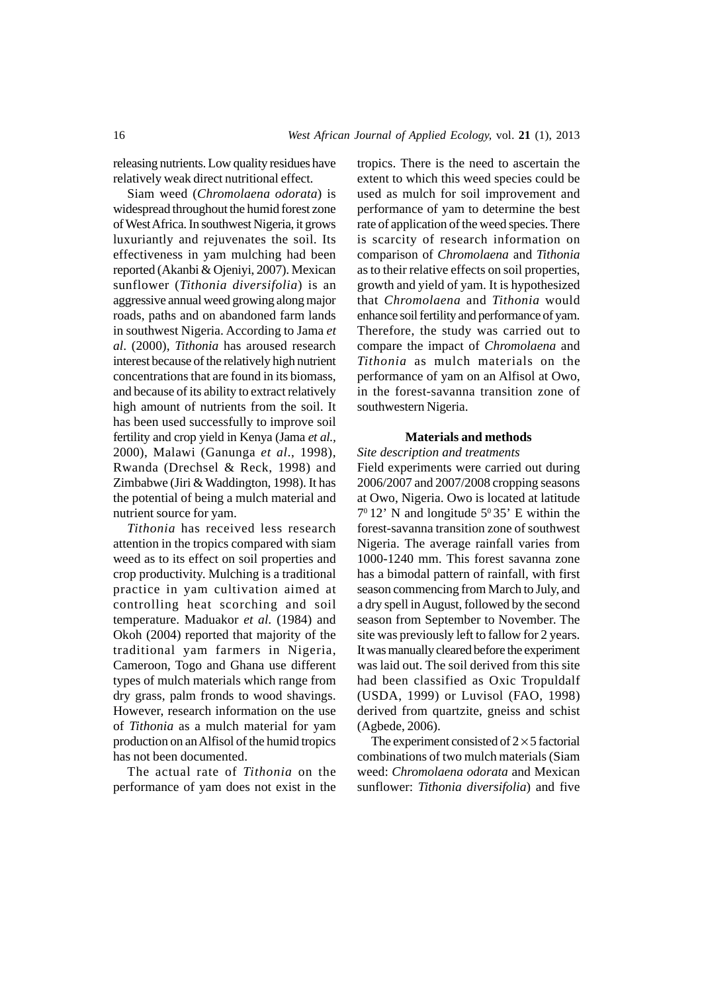releasing nutrients. Low quality residues have relatively weak direct nutritional effect.

Siam weed (*Chromolaena odorata*) is widespread throughout the humid forest zone of West Africa. In southwest Nigeria, it grows luxuriantly and rejuvenates the soil. Its effectiveness in yam mulching had been reported (Akanbi & Ojeniyi, 2007). Mexican sunflower (*Tithonia diversifolia*) is an aggressive annual weed growing along major roads, paths and on abandoned farm lands in southwest Nigeria. According to Jama *et al*. (2000), *Tithonia* has aroused research interest because of the relatively high nutrient concentrations that are found in its biomass, and because of its ability to extract relatively high amount of nutrients from the soil. It has been used successfully to improve soil fertility and crop yield in Kenya (Jama *et al.,* 2000), Malawi (Ganunga *et al*., 1998), Rwanda (Drechsel & Reck, 1998) and Zimbabwe (Jiri & Waddington, 1998). It has the potential of being a mulch material and nutrient source for yam.

*Tithonia* has received less research attention in the tropics compared with siam weed as to its effect on soil properties and crop productivity. Mulching is a traditional practice in yam cultivation aimed at controlling heat scorching and soil temperature. Maduakor *et al.* (1984) and Okoh (2004) reported that majority of the traditional yam farmers in Nigeria, Cameroon, Togo and Ghana use different types of mulch materials which range from dry grass, palm fronds to wood shavings. However, research information on the use of *Tithonia* as a mulch material for yam production on an Alfisol of the humid tropics has not been documented.

The actual rate of *Tithonia* on the performance of yam does not exist in the

tropics. There is the need to ascertain the extent to which this weed species could be used as mulch for soil improvement and performance of yam to determine the best rate of application of the weed species. There is scarcity of research information on comparison of *Chromolaena* and *Tithonia* as to their relative effects on soil properties, growth and yield of yam. It is hypothesized that *Chromolaena* and *Tithonia* would enhance soil fertility and performance of yam. Therefore, the study was carried out to compare the impact of *Chromolaena* and *Tithonia* as mulch materials on the performance of yam on an Alfisol at Owo, in the forest-savanna transition zone of southwestern Nigeria.

# **Materials and methods**

### *Site description and treatments*

Field experiments were carried out during 2006/2007 and 2007/2008 cropping seasons at Owo, Nigeria. Owo is located at latitude  $7^{\circ}$  12' N and longitude  $5^{\circ}$  35' E within the forest-savanna transition zone of southwest Nigeria. The average rainfall varies from 1000-1240 mm. This forest savanna zone has a bimodal pattern of rainfall, with first season commencing from March to July, and a dry spell in August, followed by the second season from September to November. The site was previously left to fallow for 2 years. It was manually cleared before the experiment was laid out. The soil derived from this site had been classified as Oxic Tropuldalf (USDA, 1999) or Luvisol (FAO, 1998) derived from quartzite, gneiss and schist (Agbede, 2006).

The experiment consisted of  $2 \times 5$  factorial combinations of two mulch materials (Siam weed: *Chromolaena odorata* and Mexican sunflower: *Tithonia diversifolia*) and five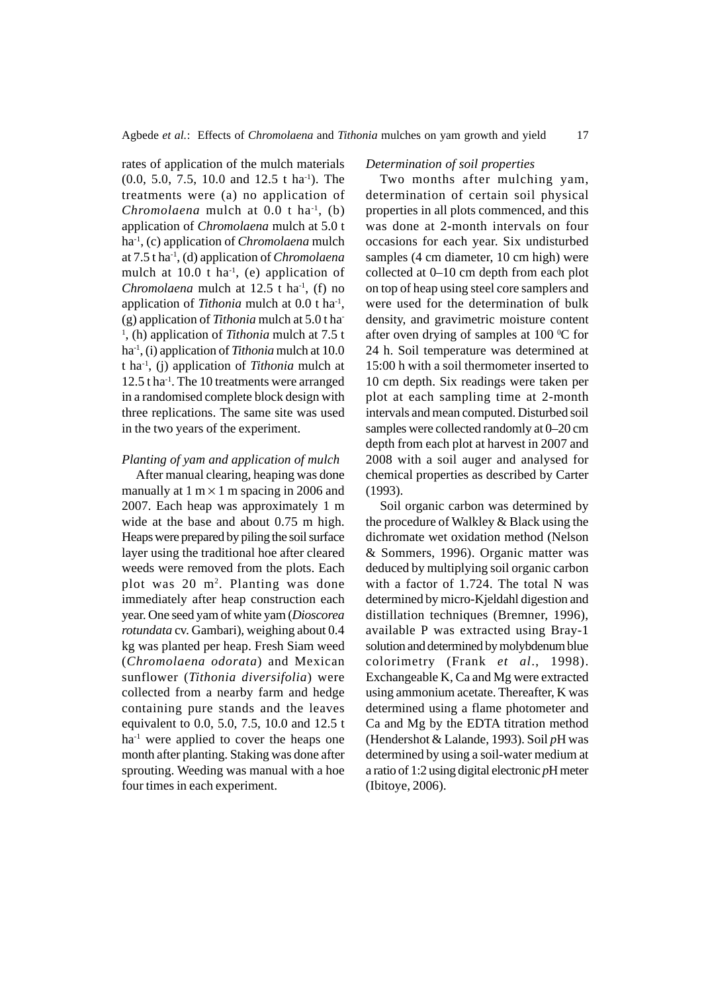rates of application of the mulch materials (0.0, 5.0, 7.5, 10.0 and 12.5 t ha-1). The treatments were (a) no application of *Chromolaena* mulch at 0.0 t ha<sup>-1</sup>, (b) application of *Chromolaena* mulch at 5.0 t ha-1, (c) application of *Chromolaena* mulch at 7.5 t ha-1, (d) application of *Chromolaena* mulch at  $10.0$  t ha<sup>-1</sup>, (e) application of *Chromolaena* mulch at 12.5 t ha<sup>-1</sup>, (f) no application of *Tithonia* mulch at 0.0 t ha-1, (g) application of *Tithonia* mulch at 5.0 t ha-<sup>1</sup>, (h) application of *Tithonia* mulch at 7.5 t ha-1, (i) application of *Tithonia* mulch at 10.0 t ha-1, (j) application of *Tithonia* mulch at 12.5 t ha-1. The 10 treatments were arranged in a randomised complete block design with three replications. The same site was used in the two years of the experiment.

### *Planting of yam and application of mulch*

After manual clearing, heaping was done manually at  $1 \text{ m} \times 1 \text{ m}$  spacing in 2006 and 2007. Each heap was approximately 1 m wide at the base and about 0.75 m high. Heaps were prepared by piling the soil surface layer using the traditional hoe after cleared weeds were removed from the plots. Each plot was 20 m2 . Planting was done immediately after heap construction each year. One seed yam of white yam (*Dioscorea rotundata* cv. Gambari), weighing about 0.4 kg was planted per heap. Fresh Siam weed (*Chromolaena odorata*) and Mexican sunflower (*Tithonia diversifolia*) were collected from a nearby farm and hedge containing pure stands and the leaves equivalent to 0.0, 5.0, 7.5, 10.0 and 12.5 t ha<sup>-1</sup> were applied to cover the heaps one month after planting. Staking was done after sprouting. Weeding was manual with a hoe four times in each experiment.

## *Determination of soil properties*

Two months after mulching yam, determination of certain soil physical properties in all plots commenced, and this was done at 2-month intervals on four occasions for each year. Six undisturbed samples (4 cm diameter, 10 cm high) were collected at 0–10 cm depth from each plot on top of heap using steel core samplers and were used for the determination of bulk density, and gravimetric moisture content after oven drying of samples at  $100\,^{\circ}\text{C}$  for 24 h. Soil temperature was determined at 15:00 h with a soil thermometer inserted to 10 cm depth. Six readings were taken per plot at each sampling time at 2-month intervals and mean computed. Disturbed soil samples were collected randomly at 0–20 cm depth from each plot at harvest in 2007 and 2008 with a soil auger and analysed for chemical properties as described by Carter (1993).

Soil organic carbon was determined by the procedure of Walkley & Black using the dichromate wet oxidation method (Nelson & Sommers, 1996). Organic matter was deduced by multiplying soil organic carbon with a factor of 1.724. The total N was determined by micro-Kjeldahl digestion and distillation techniques (Bremner, 1996), available P was extracted using Bray-1 solution and determined by molybdenum blue colorimetry (Frank *et al*., 1998). Exchangeable K, Ca and Mg were extracted using ammonium acetate. Thereafter, K was determined using a flame photometer and Ca and Mg by the EDTA titration method (Hendershot & Lalande, 1993). Soil *p*H was determined by using a soil-water medium at a ratio of 1:2 using digital electronic *p*H meter (Ibitoye, 2006).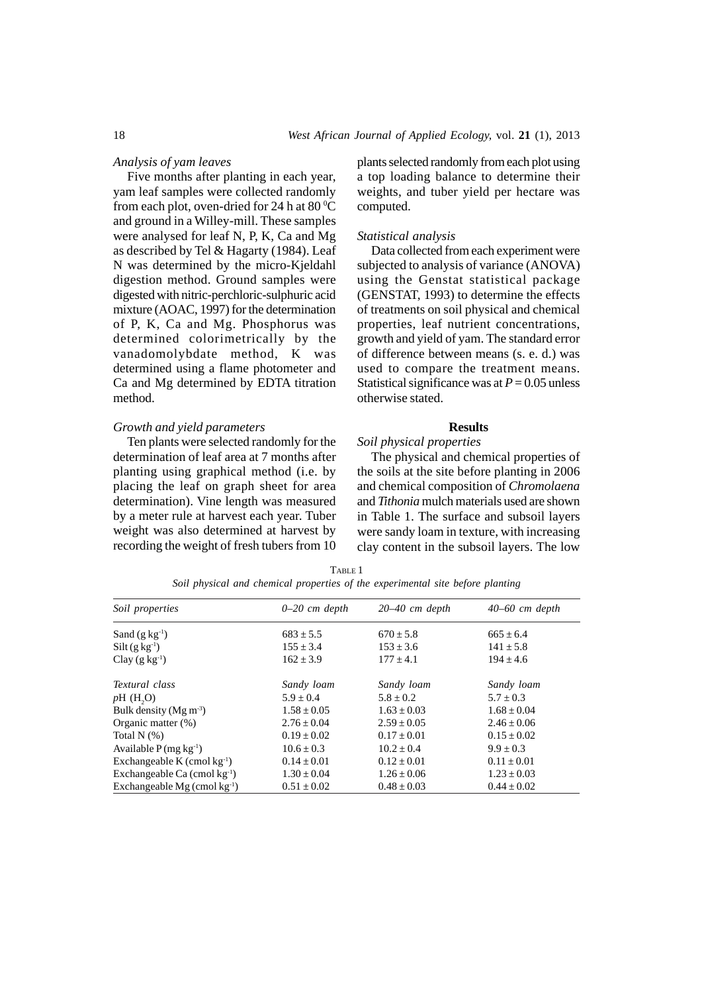### *Analysis of yam leaves*

Five months after planting in each year, yam leaf samples were collected randomly from each plot, oven-dried for 24 h at  $80\,^{\circ}\text{C}$ and ground in a Willey-mill. These samples were analysed for leaf N, P, K, Ca and Mg as described by Tel & Hagarty (1984). Leaf N was determined by the micro-Kjeldahl digestion method. Ground samples were digested with nitric-perchloric-sulphuric acid mixture (AOAC, 1997) for the determination of P, K, Ca and Mg. Phosphorus was determined colorimetrically by the vanadomolybdate method, K was determined using a flame photometer and Ca and Mg determined by EDTA titration method.

### *Growth and yield parameters*

Ten plants were selected randomly for the determination of leaf area at 7 months after planting using graphical method (i.e. by placing the leaf on graph sheet for area determination). Vine length was measured by a meter rule at harvest each year. Tuber weight was also determined at harvest by recording the weight of fresh tubers from 10 plants selected randomly from each plot using a top loading balance to determine their weights, and tuber yield per hectare was computed.

### *Statistical analysis*

Data collected from each experiment were subjected to analysis of variance (ANOVA) using the Genstat statistical package (GENSTAT, 1993) to determine the effects of treatments on soil physical and chemical properties, leaf nutrient concentrations, growth and yield of yam. The standard error of difference between means (s. e. d.) was used to compare the treatment means. Statistical significance was at  $P = 0.05$  unless otherwise stated.

### **Results**

### *Soil physical properties*

The physical and chemical properties of the soils at the site before planting in 2006 and chemical composition of *Chromolaena* and *Tithonia* mulch materials used are shown in Table 1. The surface and subsoil layers were sandy loam in texture, with increasing clay content in the subsoil layers. The low

| Soil properties                   | $0-20$ cm depth | $20-40$ cm depth | $40-60$ cm depth |
|-----------------------------------|-----------------|------------------|------------------|
| Sand $(g \text{ kg}^{-1})$        | $683 \pm 5.5$   | $670 \pm 5.8$    | $665 \pm 6.4$    |
| $Silt(gkg^{-1})$                  | $155 \pm 3.4$   | $153 \pm 3.6$    | $141 \pm 5.8$    |
| Clay $(g \, kg^{-1})$             | $162 \pm 3.9$   | $177 + 4.1$      | $194 \pm 4.6$    |
| Textural class                    | Sandy loam      | Sandy loam       | Sandy loam       |
| pH(H, O)                          | $5.9 + 0.4$     | $5.8 + 0.2$      | $5.7 + 0.3$      |
| Bulk density (Mg $m^{-3}$ )       | $1.58 \pm 0.05$ | $1.63 \pm 0.03$  | $1.68 \pm 0.04$  |
| Organic matter $(\%)$             | $2.76 \pm 0.04$ | $2.59 \pm 0.05$  | $2.46 \pm 0.06$  |
| Total $N(\%)$                     | $0.19 \pm 0.02$ | $0.17 \pm 0.01$  | $0.15 \pm 0.02$  |
| Available $P(mg kg^{-1})$         | $10.6 \pm 0.3$  | $10.2 \pm 0.4$   | $9.9 \pm 0.3$    |
| Exchangeable K (cmol $kg^{-1}$ )  | $0.14 \pm 0.01$ | $0.12 \pm 0.01$  | $0.11 \pm 0.01$  |
| Exchangeable Ca (cmol $kg^{-1}$ ) | $1.30 \pm 0.04$ | $1.26 \pm 0.06$  | $1.23 \pm 0.03$  |
| Exchangeable Mg (cmol $kg^{-1}$ ) | $0.51 \pm 0.02$ | $0.48 \pm 0.03$  | $0.44 \pm 0.02$  |

TABLE 1 *Soil physical and chemical properties of the experimental site before planting*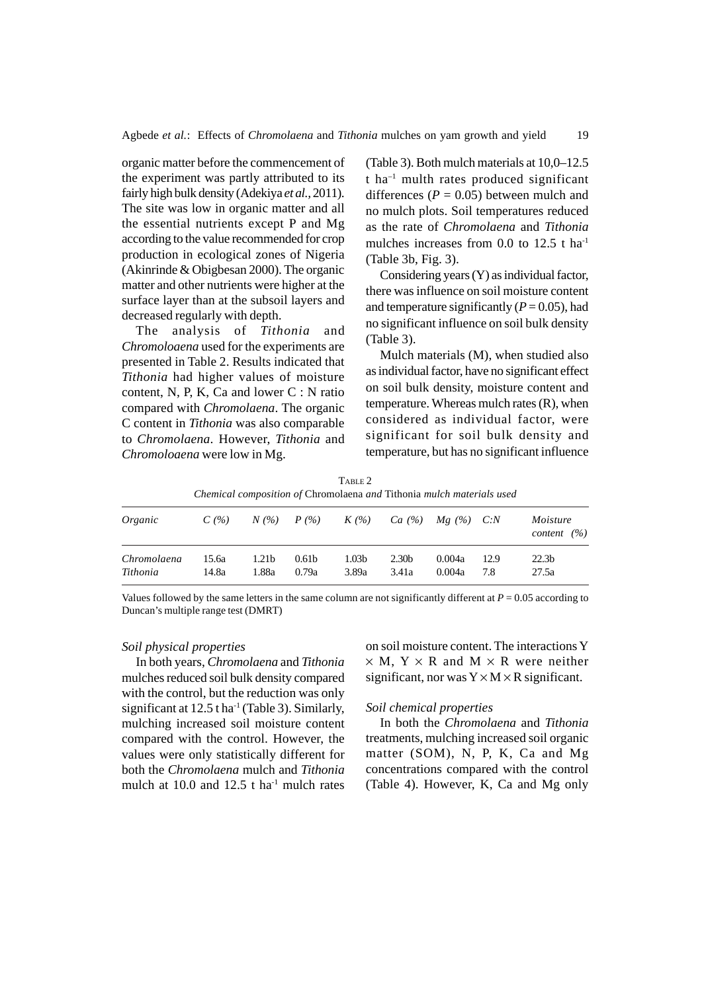organic matter before the commencement of the experiment was partly attributed to its fairly high bulk density (Adekiya *et al.,* 2011). The site was low in organic matter and all the essential nutrients except P and Mg according to the value recommended for crop production in ecological zones of Nigeria (Akinrinde & Obigbesan 2000). The organic matter and other nutrients were higher at the surface layer than at the subsoil layers and decreased regularly with depth.

The analysis of *Tithonia* and *Chromoloaena* used for the experiments are presented in Table 2. Results indicated that *Tithonia* had higher values of moisture content, N, P, K, Ca and lower C : N ratio compared with *Chromolaena*. The organic C content in *Tithonia* was also comparable to *Chromolaena*. However, *Tithonia* and *Chromoloaena* were low in Mg.

(Table 3). Both mulch materials at 10,0–12.5  $t$  ha<sup>-1</sup> multh rates produced significant differences  $(P = 0.05)$  between mulch and no mulch plots. Soil temperatures reduced as the rate of *Chromolaena* and *Tithonia* mulches increases from  $0.0$  to  $12.5$  t ha<sup>-1</sup> (Table 3b, Fig. 3).

Considering years (Y) as individual factor, there was influence on soil moisture content and temperature significantly  $(P = 0.05)$ , had no significant influence on soil bulk density (Table 3).

Mulch materials (M), when studied also as individual factor, have no significant effect on soil bulk density, moisture content and temperature. Whereas mulch rates (R), when considered as individual factor, were significant for soil bulk density and temperature, but has no significant influence

TABLE 2 *Chemical composition of* Chromolaena *and* Tithonia *mulch materials used*

| Organic     | $C($ %) |       | $N($ % $)$ $P($ % $)$ | $K(\%)$ |       | Ca $(%)$ Mg $(%)$ C:N |      | <i>Moisture</i><br>content $(%)$ |
|-------------|---------|-------|-----------------------|---------|-------|-----------------------|------|----------------------------------|
| Chromolaena | 15.6a   | 1.21b | 0.61 <sub>b</sub>     | 1.03b   | 2.30b | 0.004a                | 12.9 | 22.3 <sub>b</sub>                |
| Tithonia    | 14.8a   | 1.88a | 0.79a                 | 3.89a   | 3.41a | 0.004a                | 7.8  | 27.5a                            |

Values followed by the same letters in the same column are not significantly different at  $P = 0.05$  according to Duncan's multiple range test (DMRT)

#### *Soil physical properties*

In both years, *Chromolaena* and *Tithonia* mulches reduced soil bulk density compared with the control, but the reduction was only significant at  $12.5$  t ha<sup>-1</sup> (Table 3). Similarly, mulching increased soil moisture content compared with the control. However, the values were only statistically different for both the *Chromolaena* mulch and *Tithonia* mulch at  $10.0$  and  $12.5$  t ha<sup>-1</sup> mulch rates on soil moisture content. The interactions Y  $\times$  M, Y  $\times$  R and M  $\times$  R were neither significant, nor was  $Y \times M \times R$  significant.

### *Soil chemical properties*

In both the *Chromolaena* and *Tithonia* treatments, mulching increased soil organic matter (SOM), N, P, K, Ca and Mg concentrations compared with the control (Table 4). However, K, Ca and Mg only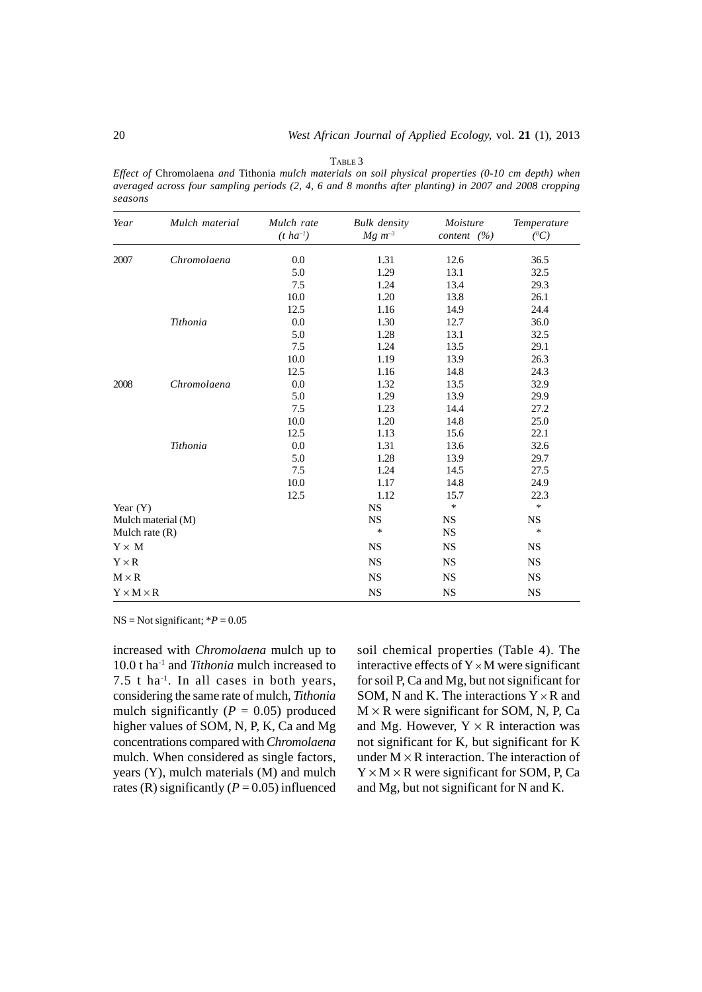*Effect of* Chromolaena *and* Tithonia *mulch materials on soil physical properties (0-10 cm depth) when averaged across four sampling periods (2, 4, 6 and 8 months after planting) in 2007 and 2008 cropping seasons*

TABLE 3

| Year                  | Mulch material     | Mulch rate<br>$(t \ ha^{-1})$ | <b>Bulk</b> density<br>$Mg \; m^{-3}$ | Moisture<br>content $(%)$ | Temperature<br>$(^0C)$ |
|-----------------------|--------------------|-------------------------------|---------------------------------------|---------------------------|------------------------|
| 2007                  | Chromolaena        | 0.0                           | 1.31                                  | 12.6                      | 36.5                   |
|                       |                    | 5.0                           | 1.29                                  | 13.1                      | 32.5                   |
|                       |                    | 7.5                           | 1.24                                  | 13.4                      | 29.3                   |
|                       |                    | 10.0                          | 1.20                                  | 13.8                      | 26.1                   |
|                       |                    | 12.5                          | 1.16                                  | 14.9                      | 24.4                   |
|                       | Tithonia           | 0.0                           | 1.30                                  | 12.7                      | 36.0                   |
|                       |                    | 5.0                           | 1.28                                  | 13.1                      | 32.5                   |
|                       |                    | 7.5                           | 1.24                                  | 13.5                      | 29.1                   |
|                       |                    | 10.0                          | 1.19                                  | 13.9                      | 26.3                   |
|                       |                    | 12.5                          | 1.16                                  | 14.8                      | 24.3                   |
| 2008                  | Chromolaena        | 0.0                           | 1.32                                  | 13.5                      | 32.9                   |
|                       |                    | 5.0                           | 1.29                                  | 13.9                      | 29.9                   |
|                       |                    | 7.5                           | 1.23                                  | 14.4                      | 27.2                   |
|                       |                    | 10.0                          | 1.20                                  | 14.8                      | 25.0                   |
|                       |                    | 12.5                          | 1.13                                  | 15.6                      | 22.1                   |
|                       | Tithonia           | 0.0                           | 1.31                                  | 13.6                      | 32.6                   |
|                       |                    | 5.0                           | 1.28                                  | 13.9                      | 29.7                   |
|                       |                    | 7.5                           | 1.24                                  | 14.5                      | 27.5                   |
|                       |                    | 10.0                          | 1.17                                  | 14.8                      | 24.9                   |
|                       |                    | 12.5                          | 1.12                                  | 15.7                      | 22.3                   |
| Year $(Y)$            |                    |                               | NS                                    | $\ast$                    | $\ast$                 |
|                       | Mulch material (M) |                               | <b>NS</b>                             | <b>NS</b>                 | <b>NS</b>              |
| Mulch rate $(R)$      |                    |                               | *                                     | <b>NS</b>                 | $\ast$                 |
| $Y \times M$          |                    |                               | <b>NS</b>                             | <b>NS</b>                 | <b>NS</b>              |
| $Y \times R$          |                    |                               | <b>NS</b>                             | <b>NS</b>                 | <b>NS</b>              |
| $M \times R$          |                    |                               | <b>NS</b>                             | <b>NS</b>                 | <b>NS</b>              |
| $Y \times M \times R$ |                    |                               | <b>NS</b>                             | <b>NS</b>                 | <b>NS</b>              |

 $NS = Not significant; *P = 0.05$ 

increased with *Chromolaena* mulch up to 10.0 t ha-1 and *Tithonia* mulch increased to 7.5 t ha-1. In all cases in both years, considering the same rate of mulch, *Tithonia* mulch significantly  $(P = 0.05)$  produced higher values of SOM, N, P, K, Ca and Mg concentrations compared with *Chromolaena* mulch. When considered as single factors, years (Y), mulch materials (M) and mulch rates (R) significantly ( $P = 0.05$ ) influenced

soil chemical properties (Table 4). The interactive effects of  $Y \times M$  were significant for soil P, Ca and Mg, but not significant for SOM, N and K. The interactions  $Y \times R$  and  $M \times R$  were significant for SOM, N, P, Ca and Mg. However,  $Y \times R$  interaction was not significant for K, but significant for K under  $M \times R$  interaction. The interaction of  $Y \times M \times R$  were significant for SOM, P, Ca and Mg, but not significant for N and K.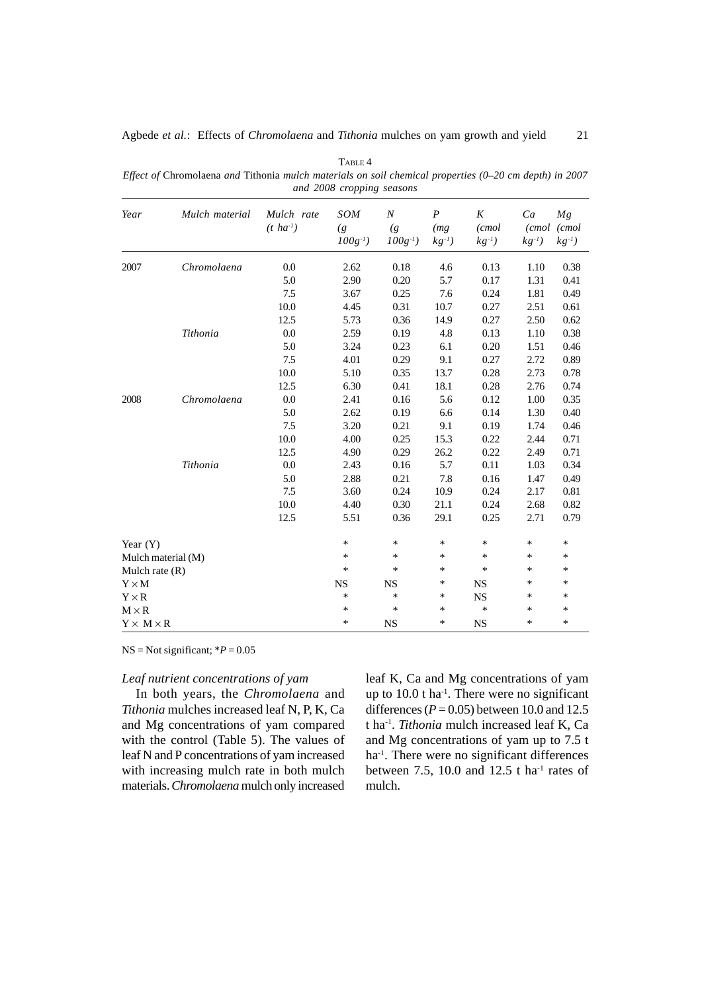Agbede *et al.*: Effects of *Chromolaena* and *Tithonia* mulches on yam growth and yield 21

|                       |                    |                                | and 2008 cropping seasons                     |                                      |                                       |                                   |                             |                             |
|-----------------------|--------------------|--------------------------------|-----------------------------------------------|--------------------------------------|---------------------------------------|-----------------------------------|-----------------------------|-----------------------------|
| Year                  | Mulch material     | Mulch rate<br>$(t \; ha^{-1})$ | <b>SOM</b><br>$\left(g\right)$<br>$100g^{-1}$ | N<br>$\left(g\right)$<br>$100g^{-1}$ | $\boldsymbol{P}$<br>(mg)<br>$kg^{-1}$ | $\cal K$<br>(cmol)<br>$kg^{-1}$ ) | Ca<br>(cmol)<br>$kg^{-1}$ ) | Mg<br>(cmol)<br>$kg^{-1}$ ) |
| 2007                  | Chromolaena        | 0.0                            | 2.62                                          | 0.18                                 | 4.6                                   | 0.13                              | 1.10                        | 0.38                        |
|                       |                    | 5.0                            | 2.90                                          | 0.20                                 | 5.7                                   | 0.17                              | 1.31                        | 0.41                        |
|                       |                    | 7.5                            | 3.67                                          | 0.25                                 | 7.6                                   | 0.24                              | 1.81                        | 0.49                        |
|                       |                    | 10.0                           | 4.45                                          | 0.31                                 | 10.7                                  | 0.27                              | 2.51                        | 0.61                        |
|                       |                    | 12.5                           | 5.73                                          | 0.36                                 | 14.9                                  | 0.27                              | 2.50                        | 0.62                        |
|                       | Tithonia           | 0.0                            | 2.59                                          | 0.19                                 | 4.8                                   | 0.13                              | 1.10                        | 0.38                        |
|                       |                    | 5.0                            | 3.24                                          | 0.23                                 | 6.1                                   | 0.20                              | 1.51                        | 0.46                        |
|                       |                    | 7.5                            | 4.01                                          | 0.29                                 | 9.1                                   | 0.27                              | 2.72                        | 0.89                        |
|                       |                    | 10.0                           | 5.10                                          | 0.35                                 | 13.7                                  | 0.28                              | 2.73                        | 0.78                        |
|                       |                    | 12.5                           | 6.30                                          | 0.41                                 | 18.1                                  | 0.28                              | 2.76                        | 0.74                        |
| 2008                  | Chromolaena        | 0.0                            | 2.41                                          | 0.16                                 | 5.6                                   | 0.12                              | 1.00                        | 0.35                        |
|                       |                    | 5.0                            | 2.62                                          | 0.19                                 | 6.6                                   | 0.14                              | 1.30                        | 0.40                        |
|                       |                    | 7.5                            | 3.20                                          | 0.21                                 | 9.1                                   | 0.19                              | 1.74                        | 0.46                        |
|                       |                    | 10.0                           | 4.00                                          | 0.25                                 | 15.3                                  | 0.22                              | 2.44                        | 0.71                        |
|                       |                    | 12.5                           | 4.90                                          | 0.29                                 | 26.2                                  | 0.22                              | 2.49                        | 0.71                        |
|                       | Tithonia           | 0.0                            | 2.43                                          | 0.16                                 | 5.7                                   | 0.11                              | 1.03                        | 0.34                        |
|                       |                    | 5.0                            | 2.88                                          | 0.21                                 | 7.8                                   | 0.16                              | 1.47                        | 0.49                        |
|                       |                    | 7.5                            | 3.60                                          | 0.24                                 | 10.9                                  | 0.24                              | 2.17                        | 0.81                        |
|                       |                    | 10.0                           | 4.40                                          | 0.30                                 | 21.1                                  | 0.24                              | 2.68                        | 0.82                        |
|                       |                    | 12.5                           | 5.51                                          | 0.36                                 | 29.1                                  | 0.25                              | 2.71                        | 0.79                        |
| Year (Y)              |                    |                                | $\ast$                                        | *                                    | $\ast$                                | $\ast$                            | $\ast$                      | $\ast$                      |
|                       | Mulch material (M) |                                | $\ast$                                        | *                                    | $\ast$                                | $\ast$                            | $\ast$                      | $\ast$                      |
| Mulch rate $(R)$      |                    |                                | $\ast$                                        | *                                    | $\ast$                                | $\ast$                            | $\ast$                      | $\ast$                      |
| $Y \times M$          |                    |                                | <b>NS</b>                                     | <b>NS</b>                            | $\ast$                                | <b>NS</b>                         | $\ast$                      | $\ast$                      |
| $Y \times R$          |                    |                                | $\ast$                                        | *                                    | $\ast$                                | <b>NS</b>                         | $\ast$                      | *                           |
| $M \times R$          |                    |                                | $\ast$                                        | *                                    | $\ast$                                | $\ast$                            | $\ast$                      | $\ast$                      |
| $Y \times M \times R$ |                    |                                | $\ast$                                        | <b>NS</b>                            | $\ast$                                | <b>NS</b>                         | $\ast$                      | $\ast$                      |

TABLE 4 *Effect of* Chromolaena *and* Tithonia *mulch materials on soil chemical properties (0–20 cm depth) in 2007 and 2008 cropping seasons*

 $NS = Not significant; *P = 0.05$ 

# *Leaf nutrient concentrations of yam*

In both years, the *Chromolaena* and *Tithonia* mulches increased leaf N, P, K, Ca and Mg concentrations of yam compared with the control (Table 5). The values of leaf N and P concentrations of yam increased with increasing mulch rate in both mulch materials. *Chromolaena* mulch only increased leaf K, Ca and Mg concentrations of yam up to 10.0 t ha-1. There were no significant differences ( $P = 0.05$ ) between 10.0 and 12.5 t ha-1. *Tithonia* mulch increased leaf K, Ca and Mg concentrations of yam up to 7.5 t ha<sup>-1</sup>. There were no significant differences between 7.5, 10.0 and 12.5 t ha<sup>-1</sup> rates of mulch.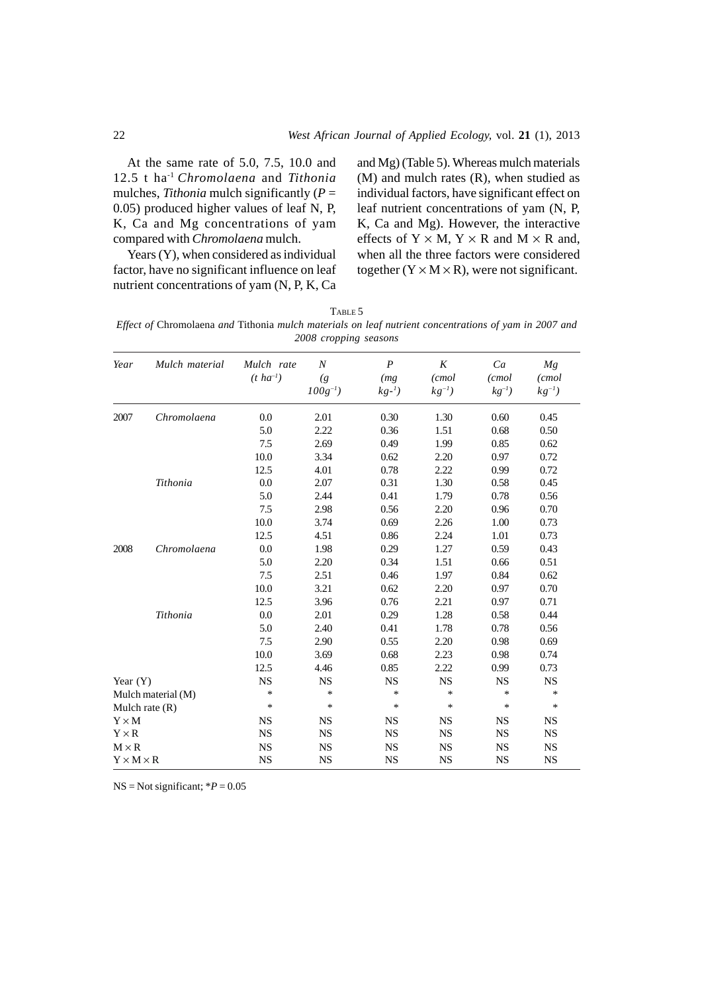At the same rate of 5.0*,* 7.5, 10.0 and 12.5 t ha-1 *Chromolaena* and *Tithonia* mulches, *Tithonia* mulch significantly ( $P =$ 0.05) produced higher values of leaf N, P, K, Ca and Mg concentrations of yam compared with *Chromolaena* mulch.

Years (Y), when considered as individual factor, have no significant influence on leaf nutrient concentrations of yam (N, P, K, Ca

and Mg) (Table 5). Whereas mulch materials (M) and mulch rates (R), when studied as individual factors, have significant effect on leaf nutrient concentrations of yam (N, P, K, Ca and Mg). However, the interactive effects of  $Y \times M$ ,  $Y \times R$  and  $M \times R$  and, when all the three factors were considered together  $(Y \times M \times R)$ , were not significant.

| TABLE 5                                                                                               |  |
|-------------------------------------------------------------------------------------------------------|--|
| Effect of Chromolaena and Tithonia mulch materials on leaf nutrient concentrations of yam in 2007 and |  |
| 2008 cropping seasons                                                                                 |  |

| Year                  | Mulch material     | Mulch rate      | $\boldsymbol{N}$ | $\boldsymbol{P}$ | K           | Ca        | Mg        |  |
|-----------------------|--------------------|-----------------|------------------|------------------|-------------|-----------|-----------|--|
|                       |                    | $(t \ ha^{-1})$ | $\left(g\right)$ | (mg)             | (cmol)      | (cmol)    | (cmol)    |  |
|                       |                    |                 | $100g^{-1}$      | $kg -1)$         | $kg^{-1}$ ) | $kg^{-1}$ | $kg^{-1}$ |  |
| 2007                  | Chromolaena        | 0.0             | 2.01             | 0.30             | 1.30        | 0.60      | 0.45      |  |
|                       |                    | 5.0             | 2.22             | 0.36             | 1.51        | 0.68      | 0.50      |  |
|                       |                    | 7.5             | 2.69             | 0.49             | 1.99        | 0.85      | 0.62      |  |
|                       |                    | 10.0            | 3.34             | 0.62             | 2.20        | 0.97      | 0.72      |  |
|                       |                    | 12.5            | 4.01             | 0.78             | 2.22        | 0.99      | 0.72      |  |
|                       | Tithonia           | 0.0             | 2.07             | 0.31             | 1.30        | 0.58      | 0.45      |  |
|                       |                    | 5.0             | 2.44             | 0.41             | 1.79        | 0.78      | 0.56      |  |
|                       |                    | 7.5             | 2.98             | 0.56             | 2.20        | 0.96      | 0.70      |  |
|                       |                    | 10.0            | 3.74             | 0.69             | 2.26        | 1.00      | 0.73      |  |
|                       |                    | 12.5            | 4.51             | 0.86             | 2.24        | 1.01      | 0.73      |  |
| 2008                  | Chromolaena        | 0.0             | 1.98             | 0.29             | 1.27        | 0.59      | 0.43      |  |
|                       |                    | 5.0             | 2.20             | 0.34             | 1.51        | 0.66      | 0.51      |  |
|                       |                    | 7.5             | 2.51             | 0.46             | 1.97        | 0.84      | 0.62      |  |
|                       |                    | 10.0            | 3.21             | 0.62             | 2.20        | 0.97      | 0.70      |  |
|                       |                    | 12.5            | 3.96             | 0.76             | 2.21        | 0.97      | 0.71      |  |
|                       | Tithonia           | 0.0             | 2.01             | 0.29             | 1.28        | 0.58      | 0.44      |  |
|                       |                    | 5.0             | 2.40             | 0.41             | 1.78        | 0.78      | 0.56      |  |
|                       |                    | 7.5             | 2.90             | 0.55             | 2.20        | 0.98      | 0.69      |  |
|                       |                    | 10.0            | 3.69             | 0.68             | 2.23        | 0.98      | 0.74      |  |
|                       |                    | 12.5            | 4.46             | 0.85             | 2.22        | 0.99      | 0.73      |  |
| Year $(Y)$            |                    | <b>NS</b>       | <b>NS</b>        | <b>NS</b>        | <b>NS</b>   | <b>NS</b> | <b>NS</b> |  |
|                       | Mulch material (M) | $\ast$          | *                | *                | *           | *         | *         |  |
| Mulch rate $(R)$      |                    | $\ast$          | $\ast$           | $\ast$           | *           | *         | $\ast$    |  |
| $Y \times M$          |                    | <b>NS</b>       | <b>NS</b>        | <b>NS</b>        | <b>NS</b>   | <b>NS</b> | <b>NS</b> |  |
| $Y \times R$          |                    | <b>NS</b>       | <b>NS</b>        | <b>NS</b>        | <b>NS</b>   | <b>NS</b> | <b>NS</b> |  |
| $M \times R$          |                    | <b>NS</b>       | <b>NS</b>        | <b>NS</b>        | <b>NS</b>   | <b>NS</b> | <b>NS</b> |  |
| $Y \times M \times R$ |                    | <b>NS</b>       | <b>NS</b>        | <b>NS</b>        | <b>NS</b>   | <b>NS</b> | <b>NS</b> |  |

 $NS = Not significant; *P = 0.05$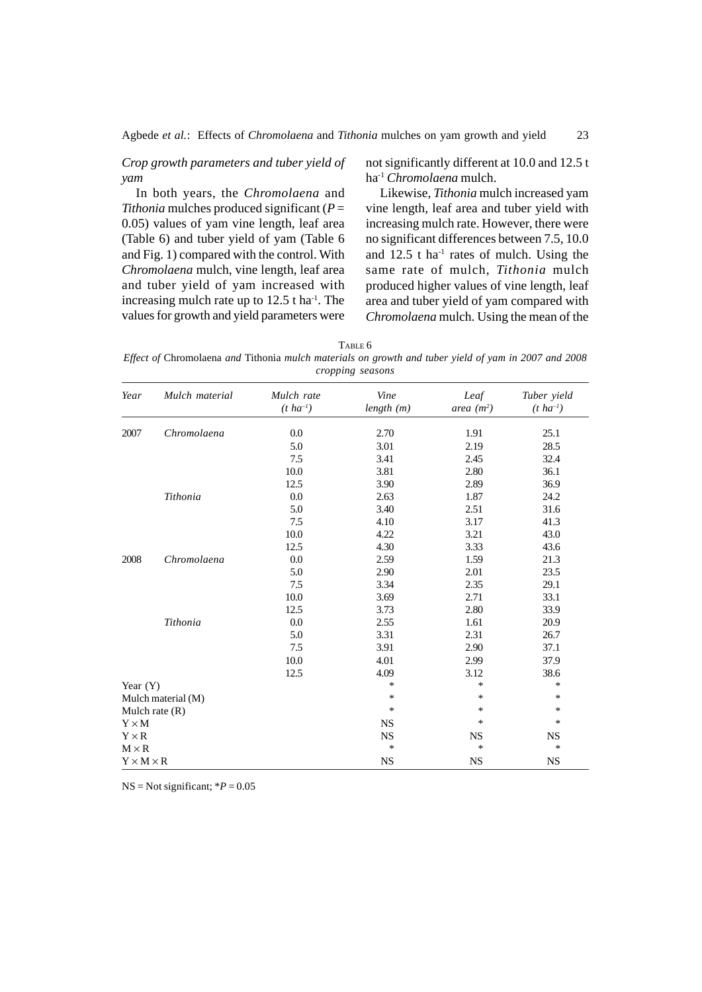*Crop growth parameters and tuber yield of yam*

not significantly different at 10.0 and 12.5 t ha-1 *Chromolaena* mulch.

In both years, the *Chromolaena* and *Tithonia* mulches produced significant (*P* = 0.05) values of yam vine length, leaf area (Table 6) and tuber yield of yam (Table 6 and Fig. 1) compared with the control. With *Chromolaena* mulch, vine length, leaf area and tuber yield of yam increased with increasing mulch rate up to  $12.5$  t ha<sup>-1</sup>. The values for growth and yield parameters were

Likewise, *Tithonia* mulch increased yam vine length, leaf area and tuber yield with increasing mulch rate. However, there were no significant differences between 7.5, 10.0 and  $12.5$  t ha<sup>-1</sup> rates of mulch. Using the same rate of mulch, *Tithonia* mulch produced higher values of vine length, leaf area and tuber yield of yam compared with *Chromolaena* mulch. Using the mean of the

TABLE 6

*Effect of* Chromolaena *and* Tithonia *mulch materials on growth and tuber yield of yam in 2007 and 2008 cropping seasons*

| Year                         | Mulch material     | Mulch rate<br>$(t \ ha^{-1})$ | Vine<br>length(m) | Leaf<br>area $(m^2)$ | Tuber yield<br>$(t \ ha^{-1})$ |
|------------------------------|--------------------|-------------------------------|-------------------|----------------------|--------------------------------|
|                              |                    |                               |                   |                      |                                |
| 2007                         | Chromolaena        | 0.0                           | 2.70              | 1.91                 | 25.1                           |
|                              |                    | 5.0                           | 3.01              | 2.19                 | 28.5                           |
|                              |                    | 7.5                           | 3.41              | 2.45                 | 32.4                           |
|                              |                    | 10.0                          | 3.81              | 2.80                 | 36.1                           |
|                              |                    | 12.5                          | 3.90              | 2.89                 | 36.9                           |
|                              | Tithonia           | 0.0                           | 2.63              | 1.87                 | 24.2                           |
|                              |                    | 5.0                           | 3.40              | 2.51                 | 31.6                           |
|                              |                    | 7.5                           | 4.10              | 3.17                 | 41.3                           |
|                              |                    | 10.0                          | 4.22              | 3.21                 | 43.0                           |
|                              |                    | 12.5                          | 4.30              | 3.33                 | 43.6                           |
| 2008                         | Chromolaena        | 0.0                           | 2.59              | 1.59                 | 21.3                           |
|                              |                    | 5.0                           | 2.90              | 2.01                 | 23.5                           |
|                              |                    | 7.5                           | 3.34              | 2.35                 | 29.1                           |
|                              |                    | 10.0                          | 3.69              | 2.71                 | 33.1                           |
|                              |                    | 12.5                          | 3.73              | 2.80                 | 33.9                           |
|                              | Tithonia           | 0.0                           | 2.55              | 1.61                 | 20.9                           |
|                              |                    | 5.0                           | 3.31              | 2.31                 | 26.7                           |
|                              |                    | 7.5                           | 3.91              | 2.90                 | 37.1                           |
|                              |                    | 10.0                          | 4.01              | 2.99                 | 37.9                           |
|                              |                    | 12.5                          | 4.09              | 3.12                 | 38.6                           |
| Year $(Y)$                   |                    |                               | $\ast$            | *                    | *                              |
|                              | Mulch material (M) |                               | $\ast$            | *                    | $\ast$                         |
|                              | Mulch rate $(R)$   |                               | $\ast$            | $\ast$               | ∗                              |
| $\mathbf{Y}\times\mathbf{M}$ |                    |                               | <b>NS</b>         | $\ast$               | $\ast$                         |
| $Y \times R$                 |                    |                               | <b>NS</b>         | <b>NS</b>            | <b>NS</b>                      |
| $M \times R$                 |                    |                               | $\ast$            | *                    | *                              |
| $Y \times M \times R$        |                    |                               | <b>NS</b>         | <b>NS</b>            | <b>NS</b>                      |

 $NS = Not significant; *P = 0.05$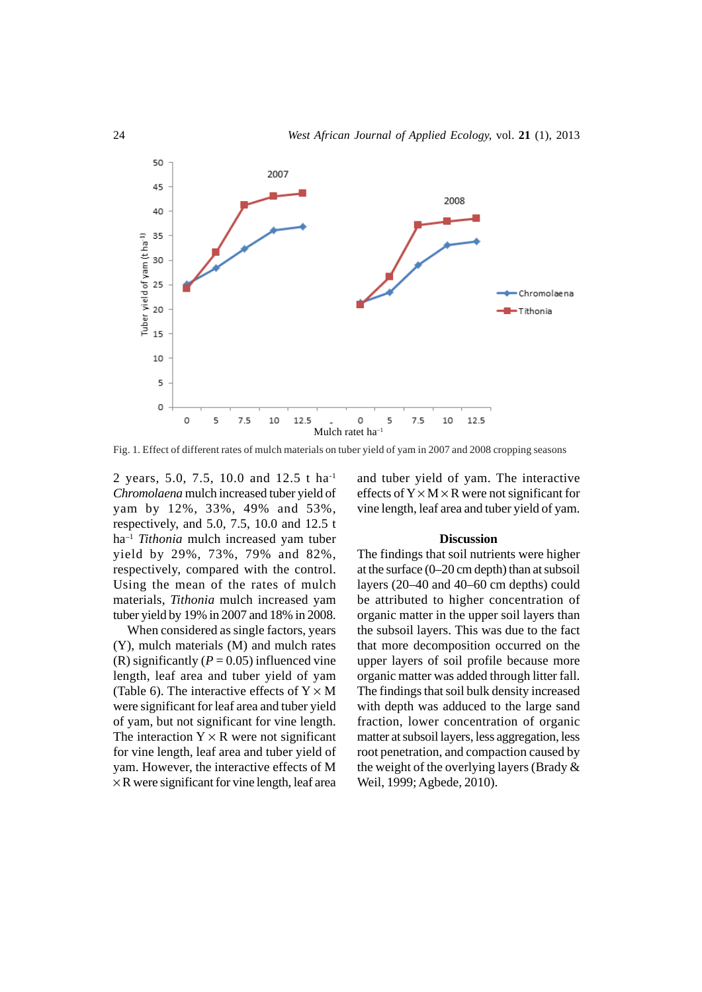

Fig. 1. Effect of different rates of mulch materials on tuber yield of yam in 2007 and 2008 cropping seasons

2 years, 5.0, 7.5, 10.0 and 12.5 t ha-1 *Chromolaena* mulch increased tuber yield of yam by 12%, 33%, 49% and 53%, respectively, and 5.0, 7.5, 10.0 and 12.5 t ha–1 *Tithonia* mulch increased yam tuber yield by 29%, 73%, 79% and 82%, respectively, compared with the control. Using the mean of the rates of mulch materials, *Tithonia* mulch increased yam tuber yield by 19% in 2007 and 18% in 2008.

When considered as single factors, years (Y), mulch materials (M) and mulch rates (R) significantly ( $P = 0.05$ ) influenced vine length, leaf area and tuber yield of yam (Table 6). The interactive effects of  $Y \times M$ were significant for leaf area and tuber yield of yam, but not significant for vine length. The interaction  $Y \times R$  were not significant for vine length, leaf area and tuber yield of yam. However, the interactive effects of M  $\times$ R were significant for vine length, leaf area

and tuber yield of yam. The interactive effects of  $Y \times M \times R$  were not significant for vine length, leaf area and tuber yield of yam.

#### **Discussion**

The findings that soil nutrients were higher at the surface (0–20 cm depth) than at subsoil layers (20–40 and 40–60 cm depths) could be attributed to higher concentration of organic matter in the upper soil layers than the subsoil layers. This was due to the fact that more decomposition occurred on the upper layers of soil profile because more organic matter was added through litter fall. The findings that soil bulk density increased with depth was adduced to the large sand fraction, lower concentration of organic matter at subsoil layers, less aggregation, less root penetration, and compaction caused by the weight of the overlying layers (Brady & Weil, 1999; Agbede, 2010).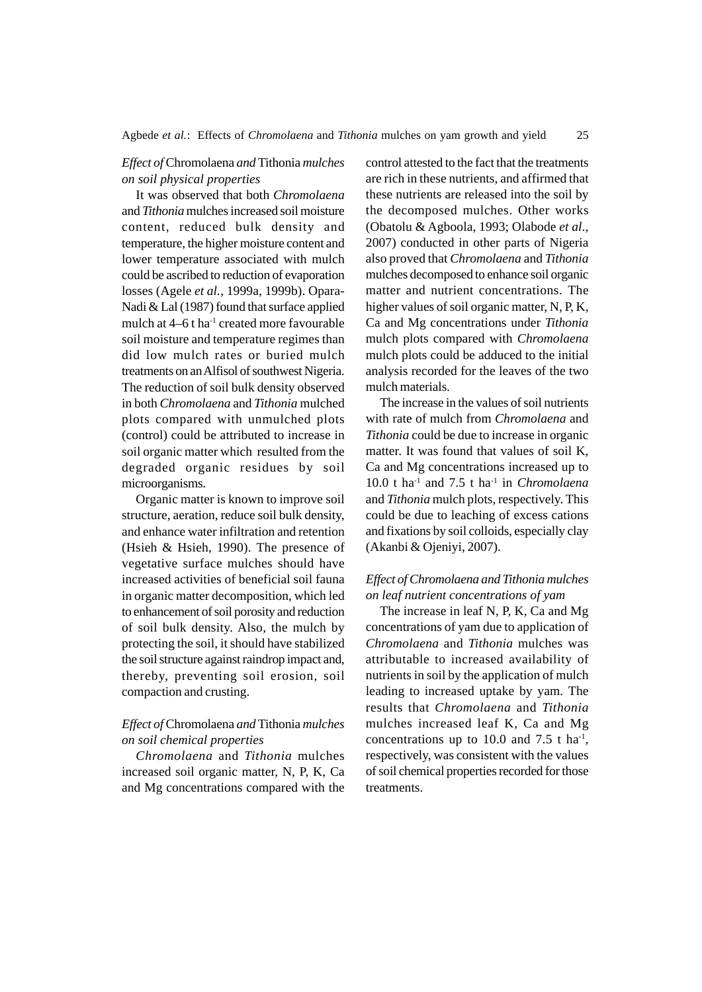# *Effect of* Chromolaena *and* Tithonia *mulches on soil physical properties*

It was observed that both *Chromolaena* and *Tithonia* mulches increased soil moisture content, reduced bulk density and temperature, the higher moisture content and lower temperature associated with mulch could be ascribed to reduction of evaporation losses (Agele *et al.*, 1999a, 1999b). Opara-Nadi & Lal (1987) found that surface applied mulch at 4–6 t ha<sup>-1</sup> created more favourable soil moisture and temperature regimes than did low mulch rates or buried mulch treatments on an Alfisol of southwest Nigeria. The reduction of soil bulk density observed in both *Chromolaena* and *Tithonia* mulched plots compared with unmulched plots (control) could be attributed to increase in soil organic matter which resulted from the degraded organic residues by soil microorganisms.

Organic matter is known to improve soil structure, aeration, reduce soil bulk density, and enhance water infiltration and retention (Hsieh & Hsieh, 1990). The presence of vegetative surface mulches should have increased activities of beneficial soil fauna in organic matter decomposition, which led to enhancement of soil porosity and reduction of soil bulk density. Also, the mulch by protecting the soil, it should have stabilized the soil structure against raindrop impact and, thereby, preventing soil erosion, soil compaction and crusting.

# *Effect of* Chromolaena *and* Tithonia *mulches on soil chemical properties*

*Chromolaena* and *Tithonia* mulches increased soil organic matter, N, P, K, Ca and Mg concentrations compared with the control attested to the fact that the treatments are rich in these nutrients, and affirmed that these nutrients are released into the soil by the decomposed mulches. Other works (Obatolu & Agboola, 1993; Olabode *et al*., 2007) conducted in other parts of Nigeria also proved that *Chromolaena* and *Tithonia* mulches decomposed to enhance soil organic matter and nutrient concentrations. The higher values of soil organic matter, N, P, K, Ca and Mg concentrations under *Tithonia* mulch plots compared with *Chromolaena* mulch plots could be adduced to the initial analysis recorded for the leaves of the two mulch materials.

The increase in the values of soil nutrients with rate of mulch from *Chromolaena* and *Tithonia* could be due to increase in organic matter. It was found that values of soil K, Ca and Mg concentrations increased up to 10.0 t ha-1 and 7.5 t ha-1 in *Chromolaena* and *Tithonia* mulch plots, respectively. This could be due to leaching of excess cations and fixations by soil colloids, especially clay (Akanbi & Ojeniyi, 2007).

# *Effect of Chromolaena and Tithonia mulches on leaf nutrient concentrations of yam*

The increase in leaf N, P, K, Ca and Mg concentrations of yam due to application of *Chromolaena* and *Tithonia* mulches was attributable to increased availability of nutrients in soil by the application of mulch leading to increased uptake by yam. The results that *Chromolaena* and *Tithonia* mulches increased leaf K, Ca and Mg concentrations up to 10.0 and 7.5 t ha<sup>-1</sup>, respectively, was consistent with the values of soil chemical properties recorded for those treatments.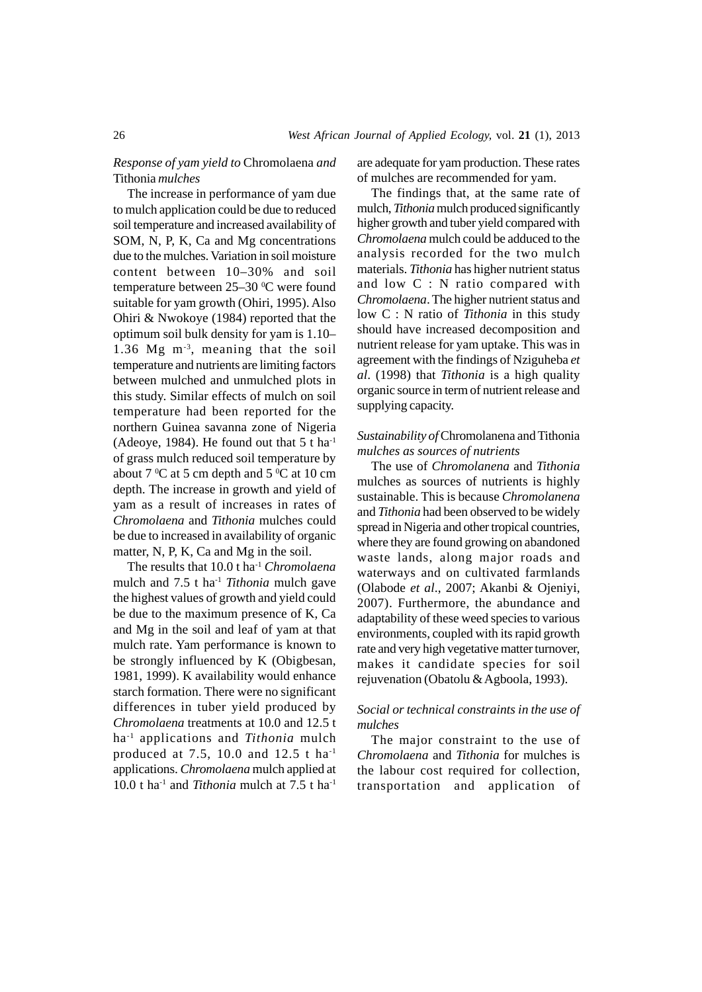# *Response of yam yield to* Chromolaena *and* Tithonia *mulches*

The increase in performance of yam due to mulch application could be due to reduced soil temperature and increased availability of SOM, N, P, K, Ca and Mg concentrations due to the mulches. Variation in soil moisture content between 10–30% and soil temperature between  $25-30$  °C were found suitable for yam growth (Ohiri, 1995). Also Ohiri & Nwokoye (1984) reported that the optimum soil bulk density for yam is 1.10– 1.36 Mg m-3, meaning that the soil temperature and nutrients are limiting factors between mulched and unmulched plots in this study. Similar effects of mulch on soil temperature had been reported for the northern Guinea savanna zone of Nigeria (Adeoye, 1984). He found out that  $5$  t ha<sup>-1</sup> of grass mulch reduced soil temperature by about  $7 \,^{\circ}\text{C}$  at 5 cm depth and 5  $^{\circ}\text{C}$  at 10 cm depth. The increase in growth and yield of yam as a result of increases in rates of *Chromolaena* and *Tithonia* mulches could be due to increased in availability of organic matter, N, P, K, Ca and Mg in the soil.

The results that 10.0 t ha-1 *Chromolaena* mulch and 7.5 t ha-1 *Tithonia* mulch gave the highest values of growth and yield could be due to the maximum presence of K, Ca and Mg in the soil and leaf of yam at that mulch rate. Yam performance is known to be strongly influenced by K (Obigbesan, 1981, 1999). K availability would enhance starch formation. There were no significant differences in tuber yield produced by *Chromolaena* treatments at 10.0 and 12.5 t ha-1 applications and *Tithonia* mulch produced at 7.5, 10.0 and 12.5 t ha<sup>-1</sup> applications. *Chromolaena* mulch applied at  $10.0$  t ha<sup>-1</sup> and *Tithonia* mulch at  $7.5$  t ha<sup>-1</sup>

are adequate for yam production. These rates of mulches are recommended for yam.

The findings that, at the same rate of mulch, *Tithonia* mulch produced significantly higher growth and tuber yield compared with *Chromolaena* mulch could be adduced to the analysis recorded for the two mulch materials. *Tithonia* has higher nutrient status and low C : N ratio compared with *Chromolaena*. The higher nutrient status and low C : N ratio of *Tithonia* in this study should have increased decomposition and nutrient release for yam uptake. This was in agreement with the findings of Nziguheba *et al*. (1998) that *Tithonia* is a high quality organic source in term of nutrient release and supplying capacity.

# *Sustainability of* Chromolanena and Tithonia *mulches as sources of nutrients*

The use of *Chromolanena* and *Tithonia* mulches as sources of nutrients is highly sustainable. This is because *Chromolanena* and *Tithonia* had been observed to be widely spread in Nigeria and other tropical countries, where they are found growing on abandoned waste lands, along major roads and waterways and on cultivated farmlands (Olabode *et al*., 2007; Akanbi & Ojeniyi, 2007). Furthermore, the abundance and adaptability of these weed species to various environments, coupled with its rapid growth rate and very high vegetative matter turnover, makes it candidate species for soil rejuvenation (Obatolu & Agboola, 1993).

# *Social or technical constraints in the use of mulches*

The major constraint to the use of *Chromolaena* and *Tithonia* for mulches is the labour cost required for collection, transportation and application of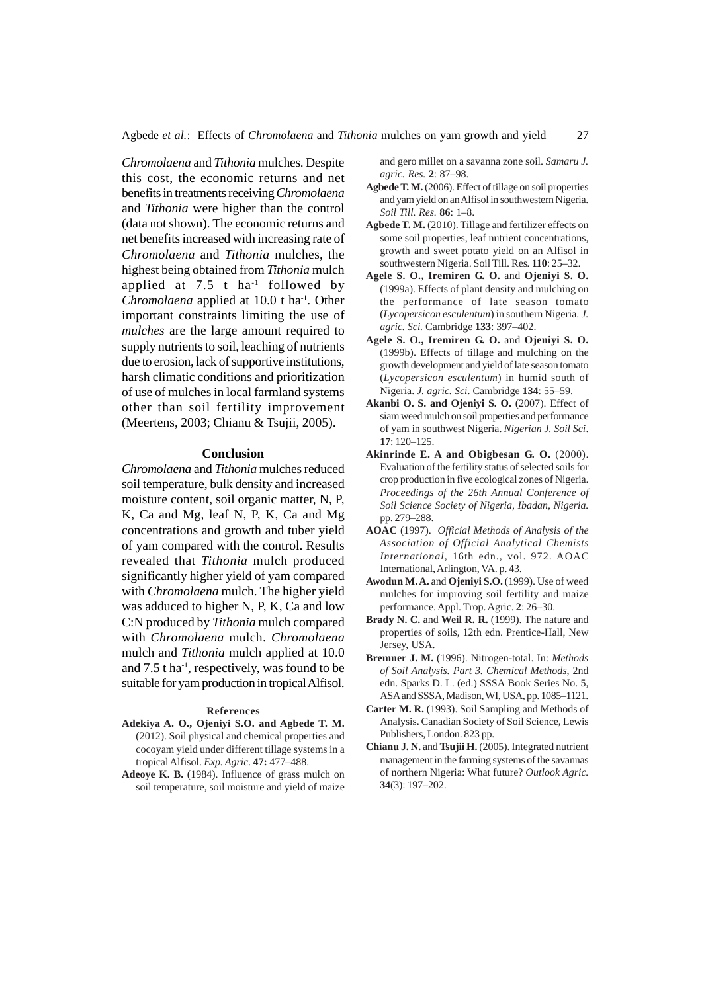*Chromolaena* and *Tithonia* mulches. Despite this cost, the economic returns and net benefits in treatments receiving *Chromolaena* and *Tithonia* were higher than the control (data not shown). The economic returns and net benefits increased with increasing rate of *Chromolaena* and *Tithonia* mulches, the highest being obtained from *Tithonia* mulch applied at  $7.5$  t ha<sup>-1</sup> followed by *Chromolaena* applied at 10.0 t ha<sup>-1</sup>. Other important constraints limiting the use of *mulches* are the large amount required to supply nutrients to soil, leaching of nutrients due to erosion, lack of supportive institutions, harsh climatic conditions and prioritization of use of mulches in local farmland systems other than soil fertility improvement (Meertens, 2003; Chianu & Tsujii, 2005).

#### **Conclusion**

*Chromolaena* and *Tithonia* mulches reduced soil temperature, bulk density and increased moisture content, soil organic matter, N, P, K, Ca and Mg, leaf N, P, K, Ca and Mg concentrations and growth and tuber yield of yam compared with the control. Results revealed that *Tithonia* mulch produced significantly higher yield of yam compared with *Chromolaena* mulch. The higher yield was adduced to higher N, P, K, Ca and low C:N produced by *Tithonia* mulch compared with *Chromolaena* mulch. *Chromolaena* mulch and *Tithonia* mulch applied at 10.0 and  $7.5$  t ha<sup>-1</sup>, respectively, was found to be suitable for yam production in tropical Alfisol.

#### **References**

- **Adekiya A. O., Ojeniyi S.O. and Agbede T. M.** (2012). Soil physical and chemical properties and cocoyam yield under different tillage systems in a tropical Alfisol. *Exp. Agric.* **47:** 477–488.
- **Adeoye K. B.** (1984). Influence of grass mulch on soil temperature, soil moisture and yield of maize

and gero millet on a savanna zone soil. *Samaru J. agric. Res.* **2**: 87–98.

- **Agbede T. M.** (2006). Effect of tillage on soil properties and yam yield on an Alfisol in southwestern Nigeria. *Soil Till. Res.* **86**: 1–8.
- **Agbede T. M.** (2010). Tillage and fertilizer effects on some soil properties, leaf nutrient concentrations, growth and sweet potato yield on an Alfisol in southwestern Nigeria. Soil Till. Res*.* **110**: 25–32.
- **Agele S. O., Iremiren G. O.** and **Ojeniyi S. O.** (1999a). Effects of plant density and mulching on the performance of late season tomato (*Lycopersicon esculentum*) in southern Nigeria. *J. agric. Sci.* Cambridge **133**: 397–402.
- **Agele S. O., Iremiren G. O.** and **Ojeniyi S. O.** (1999b). Effects of tillage and mulching on the growth development and yield of late season tomato (*Lycopersicon esculentum*) in humid south of Nigeria. *J. agric. Sci*. Cambridge **134**: 55–59.
- **Akanbi O. S. and Ojeniyi S. O.** (2007). Effect of siam weed mulch on soil properties and performance of yam in southwest Nigeria. *Nigerian J. Soil Sci*. **17**: 120–125.
- **Akinrinde E. A and Obigbesan G. O.** (2000). Evaluation of the fertility status of selected soils for crop production in five ecological zones of Nigeria. *Proceedings of the 26th Annual Conference of Soil Science Society of Nigeria, Ibadan, Nigeria.* pp. 279–288.
- **AOAC** (1997). *Official Methods of Analysis of the Association of Official Analytical Chemists International*, 16th edn., vol. 972. AOAC International, Arlington, VA. p. 43.
- **Awodun M. A.** and **Ojeniyi S.O.** (1999). Use of weed mulches for improving soil fertility and maize performance. Appl. Trop. Agric. **2**: 26–30.
- **Brady N. C.** and **Weil R. R.** (1999). The nature and properties of soils, 12th edn. Prentice-Hall, New Jersey, USA.
- **Bremner J. M.** (1996). Nitrogen-total. In: *Methods of Soil Analysis. Part 3. Chemical Methods*, 2nd edn. Sparks D. L. (ed.) SSSA Book Series No. 5, ASA and SSSA, Madison, WI, USA, pp. 1085–1121.
- **Carter M. R.** (1993). Soil Sampling and Methods of Analysis. Canadian Society of Soil Science, Lewis Publishers, London. 823 pp.
- **Chianu J. N.** and **Tsujii H.** (2005). Integrated nutrient management in the farming systems of the savannas of northern Nigeria: What future? *Outlook Agric.* **34**(3): 197–202.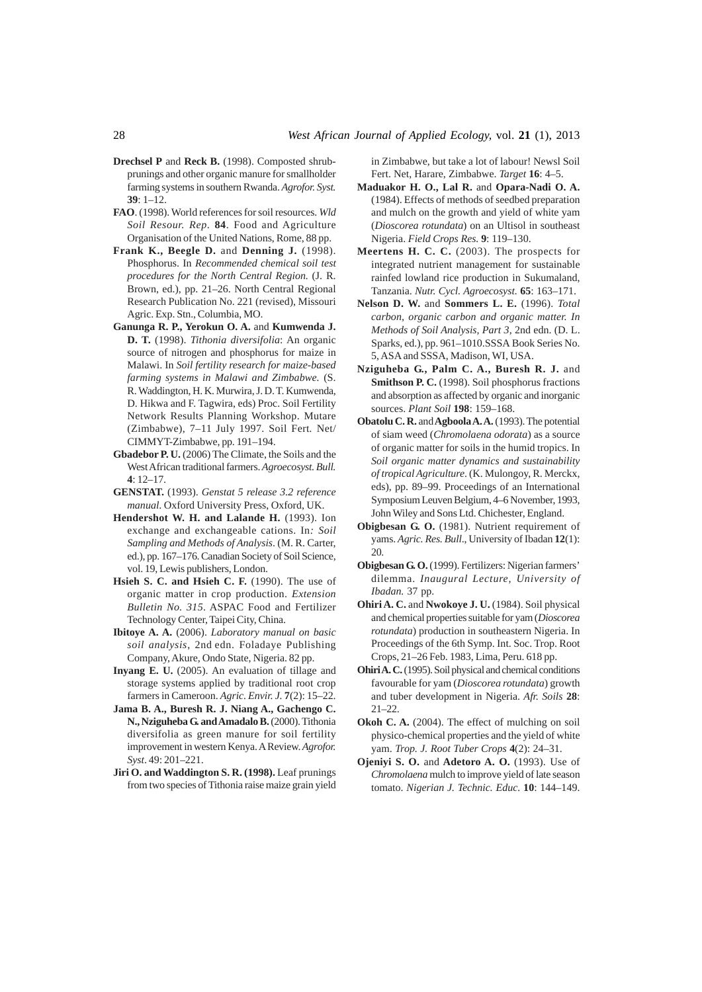- **Drechsel P** and **Reck B.** (1998). Composted shrubprunings and other organic manure for smallholder farming systems in southern Rwanda. *Agrofor. Syst.* **39**: 1–12.
- **FAO**. (1998). World references for soil resources. *Wld Soil Resour. Rep*. **84**. Food and Agriculture Organisation of the United Nations, Rome, 88 pp.
- **Frank K., Beegle D.** and **Denning J.** (1998). Phosphorus. In *Recommended chemical soil test procedures for the North Central Region.* (J. R. Brown, ed.), pp. 21–26. North Central Regional Research Publication No. 221 (revised), Missouri Agric. Exp. Stn., Columbia, MO.
- **Ganunga R. P., Yerokun O. A.** and **Kumwenda J. D. T.** (1998). *Tithonia diversifolia*: An organic source of nitrogen and phosphorus for maize in Malawi. In *Soil fertility research for maize-based farming systems in Malawi and Zimbabwe.* (S. R. Waddington, H. K. Murwira, J. D. T. Kumwenda, D. Hikwa and F. Tagwira, eds) Proc. Soil Fertility Network Results Planning Workshop. Mutare (Zimbabwe), 7–11 July 1997. Soil Fert*.* Net/ CIMMYT-Zimbabwe, pp. 191–194.
- **Gbadebor P. U.** (2006) The Climate, the Soils and the West African traditional farmers. *Agroecosyst. Bull.* **4**: 12–17.
- **GENSTAT.** (1993). *Genstat 5 release 3.2 reference manual*. Oxford University Press, Oxford, UK.
- **Hendershot W. H. and Lalande H.** (1993). Ion exchange and exchangeable cations. In*: Soil Sampling and Methods of Analysis*. (M. R. Carter, ed.), pp. 167–176. Canadian Society of Soil Science, vol. 19, Lewis publishers, London.
- Hsieh S. C. and Hsieh C. F. (1990). The use of organic matter in crop production. *Extension Bulletin No. 315*. ASPAC Food and Fertilizer Technology Center, Taipei City, China.
- **Ibitoye A. A.** (2006). *Laboratory manual on basic soil analysis*, 2nd edn. Foladaye Publishing Company, Akure, Ondo State, Nigeria. 82 pp.
- **Inyang E. U.** (2005). An evaluation of tillage and storage systems applied by traditional root crop farmers in Cameroon. *Agric. Envir. J.* **7**(2): 15–22.
- **Jama B. A., Buresh R. J. Niang A., Gachengo C. N., Nziguheba G. and Amadalo B.** (2000). Tithonia diversifolia as green manure for soil fertility improvement in western Kenya. A Review. *Agrofor. Syst*. 49: 201–221.
- **Jiri O. and Waddington S. R. (1998).** Leaf prunings from two species of Tithonia raise maize grain yield

in Zimbabwe, but take a lot of labour! Newsl Soil Fert. Net, Harare, Zimbabwe. *Target* **16**: 4–5.

- **Maduakor H. O., Lal R.** and **Opara-Nadi O. A.** (1984). Effects of methods of seedbed preparation and mulch on the growth and yield of white yam (*Dioscorea rotundata*) on an Ultisol in southeast Nigeria. *Field Crops Res.* **9**: 119–130.
- **Meertens H. C. C.** (2003). The prospects for integrated nutrient management for sustainable rainfed lowland rice production in Sukumaland, Tanzania. *Nutr. Cycl. Agroecosyst.* **65**: 163–171.
- **Nelson D. W.** and **Sommers L. E.** (1996). *Total carbon, organic carbon and organic matter. In Methods of Soil Analysis, Part 3*, 2nd edn. (D. L. Sparks, ed.), pp. 961–1010.SSSA Book Series No. 5, ASA and SSSA, Madison, WI, USA.
- **Nziguheba G., Palm C. A., Buresh R. J.** and **Smithson P. C.** (1998). Soil phosphorus fractions and absorption as affected by organic and inorganic sources. *Plant Soil* **198**: 159–168.
- **Obatolu C. R.** and **Agboola A. A.** (1993). The potential of siam weed (*Chromolaena odorata*) as a source of organic matter for soils in the humid tropics. In *Soil organic matter dynamics and sustainability of tropical Agriculture*. (K. Mulongoy, R. Merckx, eds), pp. 89–99. Proceedings of an International Symposium Leuven Belgium, 4–6 November, 1993, John Wiley and Sons Ltd. Chichester, England.
- **Obigbesan G. O.** (1981). Nutrient requirement of yams. *Agric. Res. Bull*., University of Ibadan **12**(1): 20.
- **Obigbesan G. O.** (1999). Fertilizers: Nigerian farmers' dilemma. *Inaugural Lecture, University of Ibadan.* 37 pp.
- **Ohiri A. C.** and **Nwokoye J. U.** (1984). Soil physical and chemical properties suitable for yam (*Dioscorea rotundata*) production in southeastern Nigeria. In Proceedings of the 6th Symp. Int. Soc. Trop. Root Crops, 21–26 Feb. 1983, Lima, Peru. 618 pp.
- **Ohiri A. C.** (1995). Soil physical and chemical conditions favourable for yam (*Dioscorea rotundata*) growth and tuber development in Nigeria. *Afr. Soils* **28**: 21–22.
- **Okoh C. A.** (2004). The effect of mulching on soil physico-chemical properties and the yield of white yam. *Trop. J. Root Tuber Crops* **4**(2): 24–31.
- **Ojeniyi S. O.** and **Adetoro A. O.** (1993). Use of *Chromolaena* mulch to improve yield of late season tomato. *Nigerian J. Technic. Educ.* **10**: 144–149.